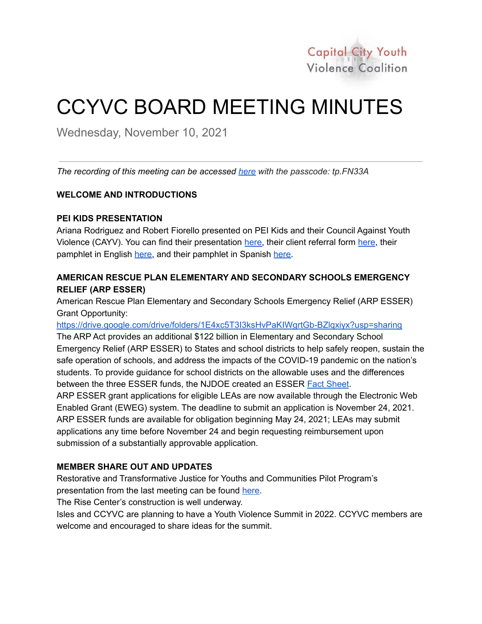

# CCYVC BOARD MEETING MINUTES

Wednesday, November 10, 2021

*The recording of this meeting can be accessed [here](https://tcnj.zoom.us/rec/share/-SYQrYQLXOOIuqysEtzw8_5m7oYitzmzef9oB2510v5utmjFy2FlYGDxB03_zPbh.kcwv6tcBE4QPR627) with the passcode: tp.FN33A*

# **WELCOME AND INTRODUCTIONS**

# **PEI KIDS PRESENTATION**

Ariana Rodriguez and Robert Fiorello presented on PEI Kids and their Council Against Youth Violence (CAYV). You can find their presentation [here,](https://drive.google.com/file/d/1WLENSFVySFnk6IX4Qgy6dmarVUhYRpKa/view?usp=sharing) their client referral form here, their pamphlet in English [here,](https://drive.google.com/file/d/1wchUHNtEC60SJ7RnJ7ir8PGYud4O0G-8/view?usp=sharing) and their pamphlet in Spanish [here.](https://drive.google.com/file/d/1eyniQc8oIq1QMfoDzfLluSb2DSkyUn28/view?usp=sharing)

# **AMERICAN RESCUE PLAN ELEMENTARY AND SECONDARY SCHOOLS EMERGENCY RELIEF (ARP ESSER)**

American Rescue Plan Elementary and Secondary Schools Emergency Relief (ARP ESSER) Grant Opportunity:

<https://drive.google.com/drive/folders/1E4xc5T3I3ksHvPaKIWgrtGb-BZlqxiyx?usp=sharing>

The ARP Act provides an additional \$122 billion in Elementary and Secondary School Emergency Relief (ARP ESSER) to States and school districts to help safely reopen, sustain the safe operation of schools, and address the impacts of the COVID-19 pandemic on the nation's students. To provide guidance for school districts on the allowable uses and the differences between the three ESSER funds, the NJDOE created an ESSER Fact [Sheet](https://www.nj.gov/education/esser/docs/ESSERFactSheet.pdf).

ARP ESSER grant applications for eligible LEAs are now available through the Electronic Web Enabled Grant (EWEG) system. The deadline to submit an application is November 24, 2021. ARP ESSER funds are available for obligation beginning May 24, 2021; LEAs may submit applications any time before November 24 and begin requesting reimbursement upon submission of a substantially approvable application.

# **MEMBER SHARE OUT AND UPDATES**

Restorative and Transformative Justice for Youths and Communities Pilot Program's presentation from the last meeting can be found [here.](https://docs.google.com/presentation/d/1ZAMfbT4XoOwHQEstihtK_cZetCq05Fo9cHBaCkg767I/edit?usp=sharing)

The Rise Center's construction is well underway.

Isles and CCYVC are planning to have a Youth Violence Summit in 2022. CCYVC members are welcome and encouraged to share ideas for the summit.